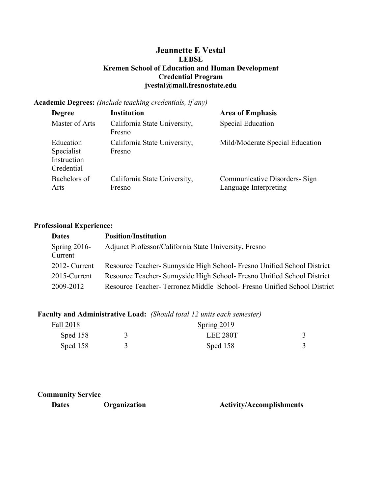# Jeannette E Vestal LEBSE Kremen School of Education and Human Development Credential Program jvestal@mail.fresnostate.edu

## Academic Degrees: (Include teaching credentials, if any)

| <b>Degree</b>                                        | <b>Institution</b>                     | <b>Area of Emphasis</b>                                |
|------------------------------------------------------|----------------------------------------|--------------------------------------------------------|
| Master of Arts                                       | California State University,<br>Fresno | <b>Special Education</b>                               |
| Education<br>Specialist<br>Instruction<br>Credential | California State University,<br>Fresno | Mild/Moderate Special Education                        |
| Bachelors of<br>Arts                                 | California State University,<br>Fresno | Communicative Disorders- Sign<br>Language Interpreting |

## Professional Experience:

| <b>Dates</b>               | <b>Position/Institution</b>                                             |
|----------------------------|-------------------------------------------------------------------------|
| Spring $2016$ -<br>Current | Adjunct Professor/California State University, Fresno                   |
| 2012- Current              | Resource Teacher- Sunnyside High School- Fresno Unified School District |
| 2015-Current               | Resource Teacher- Sunnyside High School- Fresno Unified School District |
| 2009-2012                  | Resource Teacher-Terronez Middle School-Fresno Unified School District  |

# Faculty and Administrative Load: (Should total 12 units each semester)

| Fall 2018  |  | Spring 2019 |  |
|------------|--|-------------|--|
| Sped 158   |  | LEE 280T    |  |
| Sped $158$ |  | Sped 158    |  |

## Community Service

Dates Organization Activity/Accomplishments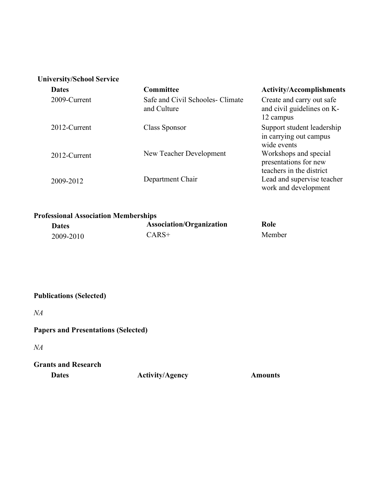# University/School Service

| <b>Dates</b> | Committee                                       | <b>Activity/Accomplishments</b>                                            |
|--------------|-------------------------------------------------|----------------------------------------------------------------------------|
| 2009-Current | Safe and Civil Schooles- Climate<br>and Culture | Create and carry out safe<br>and civil guidelines on K-<br>12 campus       |
| 2012-Current | Class Sponsor                                   | Support student leadership<br>in carrying out campus<br>wide events        |
| 2012-Current | New Teacher Development                         | Workshops and special<br>presentations for new<br>teachers in the district |
| 2009-2012    | Department Chair                                | Lead and supervise teacher<br>work and development                         |

# Professional Association Memberships

| <b>Dates</b> | <b>Association/Organization</b> | Role   |
|--------------|---------------------------------|--------|
| 2009-2010    | $CARS+$                         | Member |

# Publications (Selected)

NA

# Papers and Presentations (Selected)

NA

# Grants and Research

Dates Activity/Agency Amounts